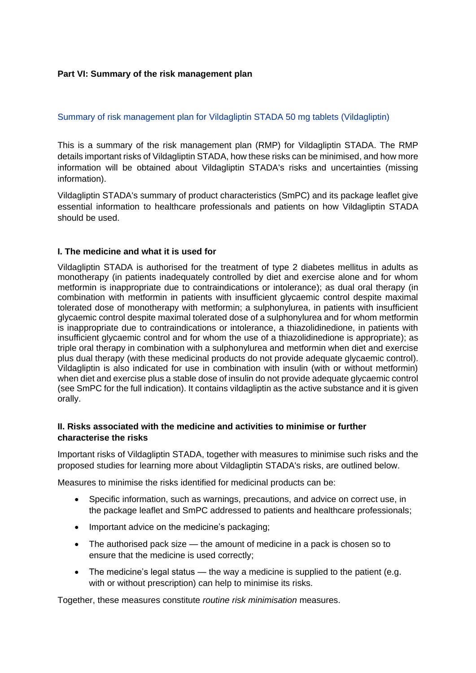#### **Part VI: Summary of the risk management plan**

#### Summary of risk management plan for Vildagliptin STADA 50 mg tablets (Vildagliptin)

This is a summary of the risk management plan (RMP) for Vildagliptin STADA. The RMP details important risks of Vildagliptin STADA, how these risks can be minimised, and how more information will be obtained about Vildagliptin STADA's risks and uncertainties (missing information).

Vildagliptin STADA's summary of product characteristics (SmPC) and its package leaflet give essential information to healthcare professionals and patients on how Vildagliptin STADA should be used.

#### **I. The medicine and what it is used for**

Vildagliptin STADA is authorised for the treatment of type 2 diabetes mellitus in adults as monotherapy (in patients inadequately controlled by diet and exercise alone and for whom metformin is inappropriate due to contraindications or intolerance); as dual oral therapy (in combination with metformin in patients with insufficient glycaemic control despite maximal tolerated dose of monotherapy with metformin; a sulphonylurea, in patients with insufficient glycaemic control despite maximal tolerated dose of a sulphonylurea and for whom metformin is inappropriate due to contraindications or intolerance, a thiazolidinedione, in patients with insufficient glycaemic control and for whom the use of a thiazolidinedione is appropriate); as triple oral therapy in combination with a sulphonylurea and metformin when diet and exercise plus dual therapy (with these medicinal products do not provide adequate glycaemic control). Vildagliptin is also indicated for use in combination with insulin (with or without metformin) when diet and exercise plus a stable dose of insulin do not provide adequate glycaemic control (see SmPC for the full indication). It contains vildagliptin as the active substance and it is given orally.

#### **II. Risks associated with the medicine and activities to minimise or further characterise the risks**

Important risks of Vildagliptin STADA, together with measures to minimise such risks and the proposed studies for learning more about Vildagliptin STADA's risks, are outlined below.

Measures to minimise the risks identified for medicinal products can be:

- Specific information, such as warnings, precautions, and advice on correct use, in the package leaflet and SmPC addressed to patients and healthcare professionals;
- Important advice on the medicine's packaging;
- The authorised pack size the amount of medicine in a pack is chosen so to ensure that the medicine is used correctly;
- The medicine's legal status the way a medicine is supplied to the patient (e.g. with or without prescription) can help to minimise its risks.

Together, these measures constitute *routine risk minimisation* measures.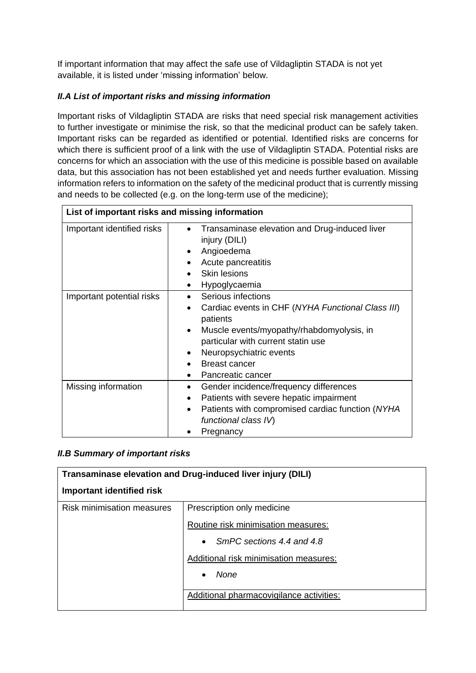If important information that may affect the safe use of Vildagliptin STADA is not yet available, it is listed under 'missing information' below.

## *II.A List of important risks and missing information*

Important risks of Vildagliptin STADA are risks that need special risk management activities to further investigate or minimise the risk, so that the medicinal product can be safely taken. Important risks can be regarded as identified or potential. Identified risks are concerns for which there is sufficient proof of a link with the use of Vildagliptin STADA. Potential risks are concerns for which an association with the use of this medicine is possible based on available data, but this association has not been established yet and needs further evaluation. Missing information refers to information on the safety of the medicinal product that is currently missing and needs to be collected (e.g. on the long-term use of the medicine);

| List of important risks and missing information |                                                                                                                                                                                                                                                             |
|-------------------------------------------------|-------------------------------------------------------------------------------------------------------------------------------------------------------------------------------------------------------------------------------------------------------------|
| Important identified risks                      | Transaminase elevation and Drug-induced liver<br>injury (DILI)<br>Angioedema<br>Acute pancreatitis<br><b>Skin lesions</b><br>Hypoglycaemia<br>$\bullet$                                                                                                     |
| Important potential risks                       | Serious infections<br>Cardiac events in CHF (NYHA Functional Class III)<br>patients<br>Muscle events/myopathy/rhabdomyolysis, in<br>$\bullet$<br>particular with current statin use<br>Neuropsychiatric events<br><b>Breast cancer</b><br>Pancreatic cancer |
| Missing information                             | Gender incidence/frequency differences<br>$\bullet$<br>Patients with severe hepatic impairment<br>Patients with compromised cardiac function (NYHA<br>functional class IV)<br>Pregnancy                                                                     |

### *II.B Summary of important risks*

| Transaminase elevation and Drug-induced liver injury (DILI) |                                          |
|-------------------------------------------------------------|------------------------------------------|
| Important identified risk                                   |                                          |
| <b>Risk minimisation measures</b>                           | Prescription only medicine               |
|                                                             | Routine risk minimisation measures:      |
|                                                             | SmPC sections 4.4 and 4.8<br>$\bullet$   |
|                                                             | Additional risk minimisation measures:   |
|                                                             | None<br>$\bullet$                        |
|                                                             | Additional pharmacovigilance activities: |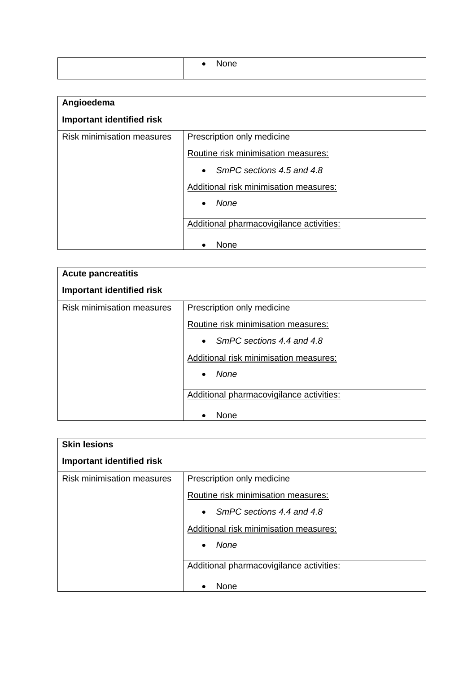| Angioedema                        |                                          |
|-----------------------------------|------------------------------------------|
| <b>Important identified risk</b>  |                                          |
| <b>Risk minimisation measures</b> | Prescription only medicine               |
|                                   | Routine risk minimisation measures:      |
|                                   | SmPC sections 4.5 and 4.8<br>$\bullet$   |
|                                   | Additional risk minimisation measures:   |
|                                   | None<br>$\bullet$                        |
|                                   | Additional pharmacovigilance activities: |
|                                   | None                                     |

| <b>Acute pancreatitis</b>         |                                          |
|-----------------------------------|------------------------------------------|
| <b>Important identified risk</b>  |                                          |
| <b>Risk minimisation measures</b> | Prescription only medicine               |
|                                   | Routine risk minimisation measures:      |
|                                   | SmPC sections 4.4 and 4.8<br>$\bullet$   |
|                                   | Additional risk minimisation measures:   |
|                                   | None<br>$\bullet$                        |
|                                   | Additional pharmacovigilance activities: |
|                                   | None                                     |

| <b>Skin lesions</b>               |                                          |
|-----------------------------------|------------------------------------------|
| <b>Important identified risk</b>  |                                          |
| <b>Risk minimisation measures</b> | Prescription only medicine               |
|                                   | Routine risk minimisation measures:      |
|                                   | SmPC sections 4.4 and 4.8<br>$\bullet$   |
|                                   | Additional risk minimisation measures:   |
|                                   | None<br>$\bullet$                        |
|                                   | Additional pharmacovigilance activities: |
|                                   | <b>None</b>                              |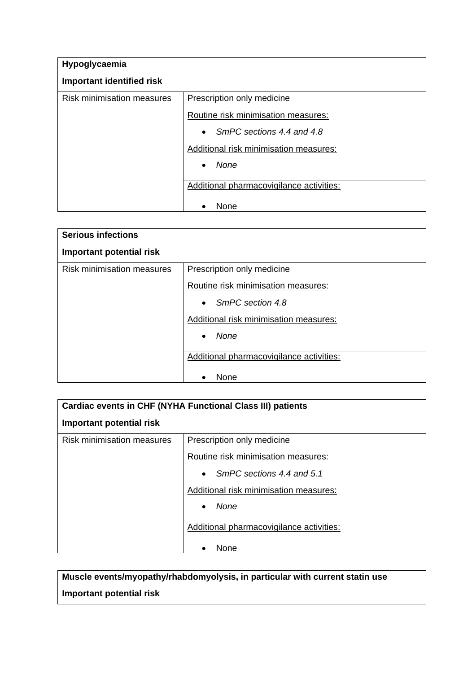| Hypoglycaemia                     |                                                  |
|-----------------------------------|--------------------------------------------------|
| <b>Important identified risk</b>  |                                                  |
| <b>Risk minimisation measures</b> | Prescription only medicine                       |
|                                   | Routine risk minimisation measures:              |
|                                   | SmPC sections 4.4 and 4.8<br>$\bullet$           |
|                                   | Additional risk minimisation measures:           |
|                                   | None<br>$\bullet$                                |
|                                   |                                                  |
|                                   |                                                  |
|                                   | Additional pharmacovigilance activities:<br>None |

| <b>Serious infections</b>         |                                          |
|-----------------------------------|------------------------------------------|
| Important potential risk          |                                          |
| <b>Risk minimisation measures</b> | Prescription only medicine               |
|                                   | Routine risk minimisation measures:      |
|                                   | SmPC section 4.8<br>$\bullet$            |
|                                   | Additional risk minimisation measures:   |
|                                   | None<br>$\bullet$                        |
|                                   | Additional pharmacovigilance activities: |
|                                   | None                                     |

| Cardiac events in CHF (NYHA Functional Class III) patients |                                          |
|------------------------------------------------------------|------------------------------------------|
| Important potential risk                                   |                                          |
| <b>Risk minimisation measures</b>                          | Prescription only medicine               |
|                                                            | Routine risk minimisation measures:      |
|                                                            | • SmPC sections $4.4$ and $5.1$          |
|                                                            | Additional risk minimisation measures:   |
|                                                            | None<br>$\bullet$                        |
|                                                            | Additional pharmacovigilance activities: |
|                                                            | None                                     |

**Muscle events/myopathy/rhabdomyolysis, in particular with current statin use Important potential risk**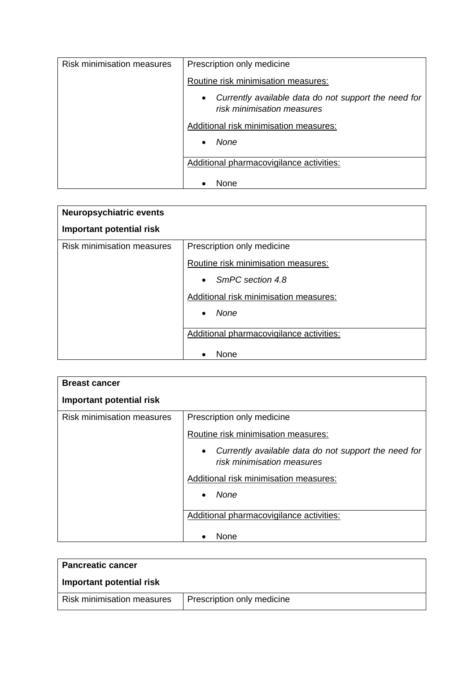| <b>Risk minimisation measures</b> | Prescription only medicine                                                                      |
|-----------------------------------|-------------------------------------------------------------------------------------------------|
|                                   | Routine risk minimisation measures:                                                             |
|                                   | Currently available data do not support the need for<br>$\bullet$<br>risk minimisation measures |
|                                   | Additional risk minimisation measures:                                                          |
|                                   | None<br>$\bullet$                                                                               |
|                                   | Additional pharmacovigilance activities:                                                        |
|                                   | None                                                                                            |

| <b>Neuropsychiatric events</b>    |                                          |
|-----------------------------------|------------------------------------------|
| Important potential risk          |                                          |
| <b>Risk minimisation measures</b> | Prescription only medicine               |
|                                   | Routine risk minimisation measures:      |
|                                   | SmPC section 4.8<br>$\bullet$            |
|                                   | Additional risk minimisation measures:   |
|                                   | None                                     |
|                                   | Additional pharmacovigilance activities: |
|                                   | None                                     |

| <b>Breast cancer</b>              |                                                                                                 |
|-----------------------------------|-------------------------------------------------------------------------------------------------|
| Important potential risk          |                                                                                                 |
| <b>Risk minimisation measures</b> | Prescription only medicine                                                                      |
|                                   | Routine risk minimisation measures:                                                             |
|                                   | Currently available data do not support the need for<br>$\bullet$<br>risk minimisation measures |
|                                   | Additional risk minimisation measures:                                                          |
|                                   | None                                                                                            |
|                                   | Additional pharmacovigilance activities:                                                        |
|                                   | None                                                                                            |

| <b>Pancreatic cancer</b>   |                            |
|----------------------------|----------------------------|
| Important potential risk   |                            |
| Risk minimisation measures | Prescription only medicine |